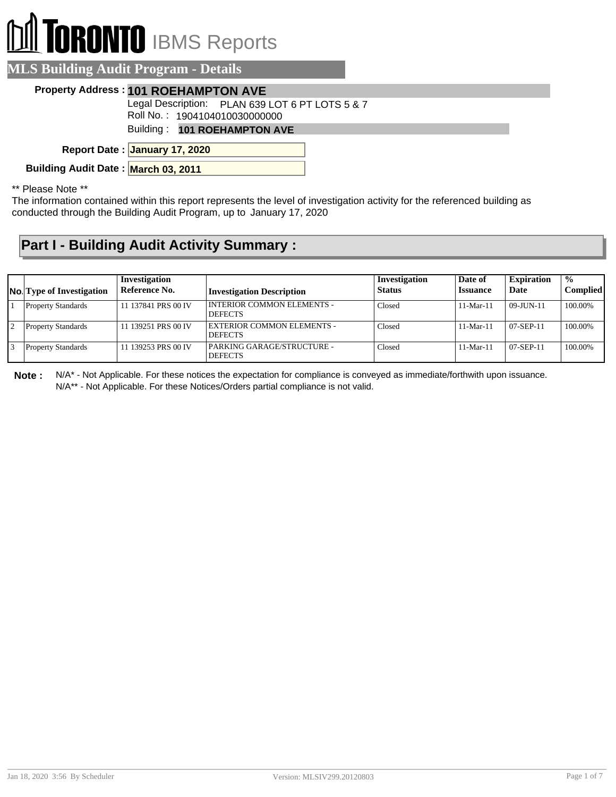## **DI** TORONTO IBMS Reports

| <b>MLS Building Audit Program - Details</b> |                                                                                  |
|---------------------------------------------|----------------------------------------------------------------------------------|
|                                             | Property Address: 101 ROEHAMPTON AVE                                             |
|                                             | Legal Description: PLAN 639 LOT 6 PT LOTS 5 & 7<br>Roll No.: 1904104010030000000 |
|                                             | Building: 101 ROEHAMPTON AVE                                                     |
|                                             | Report Date: January 17, 2020                                                    |
| Building Audit Date: March 03, 2011         |                                                                                  |

\*\* Please Note \*\*

The information contained within this report represents the level of investigation activity for the referenced building as conducted through the Building Audit Program, up to January 17, 2020

## **Part I - Building Audit Activity Summary :**

| <b>No.</b> Type of Investigation | Investigation<br>Reference No. | <b>Investigation Description</b>                    | Investigation<br>Status | Date of<br><b>Issuance</b> | <b>Expiration</b><br>Date | $\frac{0}{0}$<br>Complied |
|----------------------------------|--------------------------------|-----------------------------------------------------|-------------------------|----------------------------|---------------------------|---------------------------|
| <b>Property Standards</b>        | 11 137841 PRS 00 IV            | <b>INTERIOR COMMON ELEMENTS -</b><br><b>DEFECTS</b> | Closed                  | $11-Mar-11$                | 09-JUN-11                 | 100.00%                   |
| <b>Property Standards</b>        | 11 139251 PRS 00 IV            | EXTERIOR COMMON ELEMENTS -<br><b>DEFECTS</b>        | Closed                  | $11-Mar-11$                | 07-SEP-11                 | 100.00%                   |
| <b>Property Standards</b>        | 11 139253 PRS 00 IV            | PARKING GARAGE/STRUCTURE -<br><b>DEFECTS</b>        | Closed                  | $11-Mar-11$                | 07-SEP-11                 | 100.00%                   |

**Note :** N/A\* - Not Applicable. For these notices the expectation for compliance is conveyed as immediate/forthwith upon issuance. N/A\*\* - Not Applicable. For these Notices/Orders partial compliance is not valid.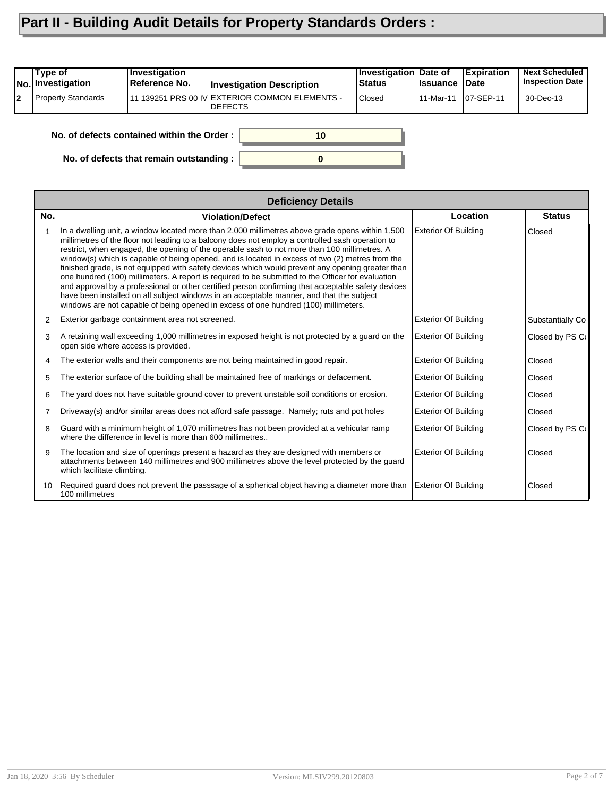## **Part II - Building Audit Details for Property Standards Orders :**

|    | Type of<br><b>No. Investigation</b>              | Investigation<br>Reference No. | <b>Investigation Description</b>                                 | <b>Investigation Date of</b><br><b>Status</b> | <b>Issuance</b> | <b>Expiration</b><br><b>Date</b> | <b>Next Scheduled</b><br><b>Inspection Date</b> |
|----|--------------------------------------------------|--------------------------------|------------------------------------------------------------------|-----------------------------------------------|-----------------|----------------------------------|-------------------------------------------------|
| 12 | Property Standards                               |                                | 11 139251 PRS 00 IV EXTERIOR COMMON ELEMENTS -<br><b>DEFECTS</b> | Closed                                        | 11-Mar-11       | $ 07-SEP-11$                     | 30-Dec-13                                       |
|    | No. of defects contained within the Order:<br>10 |                                |                                                                  |                                               |                 |                                  |                                                 |

**0**

**No. of defects that remain outstanding :**

|                 | <b>Deficiency Details</b>                                                                                                                                                                                                                                                                                                                                                                                                                                                                                                                                                                                                                                                                                                                                                                                                                                                                                |                             |                  |  |  |  |  |
|-----------------|----------------------------------------------------------------------------------------------------------------------------------------------------------------------------------------------------------------------------------------------------------------------------------------------------------------------------------------------------------------------------------------------------------------------------------------------------------------------------------------------------------------------------------------------------------------------------------------------------------------------------------------------------------------------------------------------------------------------------------------------------------------------------------------------------------------------------------------------------------------------------------------------------------|-----------------------------|------------------|--|--|--|--|
| No.             | <b>Violation/Defect</b>                                                                                                                                                                                                                                                                                                                                                                                                                                                                                                                                                                                                                                                                                                                                                                                                                                                                                  | Location                    | <b>Status</b>    |  |  |  |  |
|                 | In a dwelling unit, a window located more than 2,000 millimetres above grade opens within 1,500<br>millimetres of the floor not leading to a balcony does not employ a controlled sash operation to<br>restrict, when engaged, the opening of the operable sash to not more than 100 millimetres. A<br>window(s) which is capable of being opened, and is located in excess of two (2) metres from the<br>finished grade, is not equipped with safety devices which would prevent any opening greater than<br>one hundred (100) millimeters. A report is required to be submitted to the Officer for evaluation<br>and approval by a professional or other certified person confirming that acceptable safety devices<br>have been installed on all subject windows in an acceptable manner, and that the subject<br>windows are not capable of being opened in excess of one hundred (100) millimeters. | <b>Exterior Of Building</b> | Closed           |  |  |  |  |
| 2               | Exterior garbage containment area not screened.                                                                                                                                                                                                                                                                                                                                                                                                                                                                                                                                                                                                                                                                                                                                                                                                                                                          | <b>Exterior Of Building</b> | Substantially Co |  |  |  |  |
| 3               | A retaining wall exceeding 1,000 millimetres in exposed height is not protected by a guard on the<br>open side where access is provided.                                                                                                                                                                                                                                                                                                                                                                                                                                                                                                                                                                                                                                                                                                                                                                 | <b>Exterior Of Building</b> | Closed by PS Co  |  |  |  |  |
| 4               | The exterior walls and their components are not being maintained in good repair.                                                                                                                                                                                                                                                                                                                                                                                                                                                                                                                                                                                                                                                                                                                                                                                                                         | <b>Exterior Of Building</b> | Closed           |  |  |  |  |
| 5               | The exterior surface of the building shall be maintained free of markings or defacement.                                                                                                                                                                                                                                                                                                                                                                                                                                                                                                                                                                                                                                                                                                                                                                                                                 | <b>Exterior Of Building</b> | Closed           |  |  |  |  |
| 6               | The yard does not have suitable ground cover to prevent unstable soil conditions or erosion.                                                                                                                                                                                                                                                                                                                                                                                                                                                                                                                                                                                                                                                                                                                                                                                                             | <b>Exterior Of Building</b> | Closed           |  |  |  |  |
| 7               | Driveway(s) and/or similar areas does not afford safe passage. Namely; ruts and pot holes                                                                                                                                                                                                                                                                                                                                                                                                                                                                                                                                                                                                                                                                                                                                                                                                                | <b>Exterior Of Building</b> | Closed           |  |  |  |  |
| 8               | Guard with a minimum height of 1,070 millimetres has not been provided at a vehicular ramp<br>where the difference in level is more than 600 millimetres                                                                                                                                                                                                                                                                                                                                                                                                                                                                                                                                                                                                                                                                                                                                                 | <b>Exterior Of Building</b> | Closed by PS Co  |  |  |  |  |
| 9               | The location and size of openings present a hazard as they are designed with members or<br>attachments between 140 millimetres and 900 millimetres above the level protected by the guard<br>which facilitate climbing.                                                                                                                                                                                                                                                                                                                                                                                                                                                                                                                                                                                                                                                                                  | <b>Exterior Of Building</b> | Closed           |  |  |  |  |
| 10 <sup>1</sup> | Required quard does not prevent the passsage of a spherical object having a diameter more than<br>100 millimetres                                                                                                                                                                                                                                                                                                                                                                                                                                                                                                                                                                                                                                                                                                                                                                                        | <b>Exterior Of Building</b> | Closed           |  |  |  |  |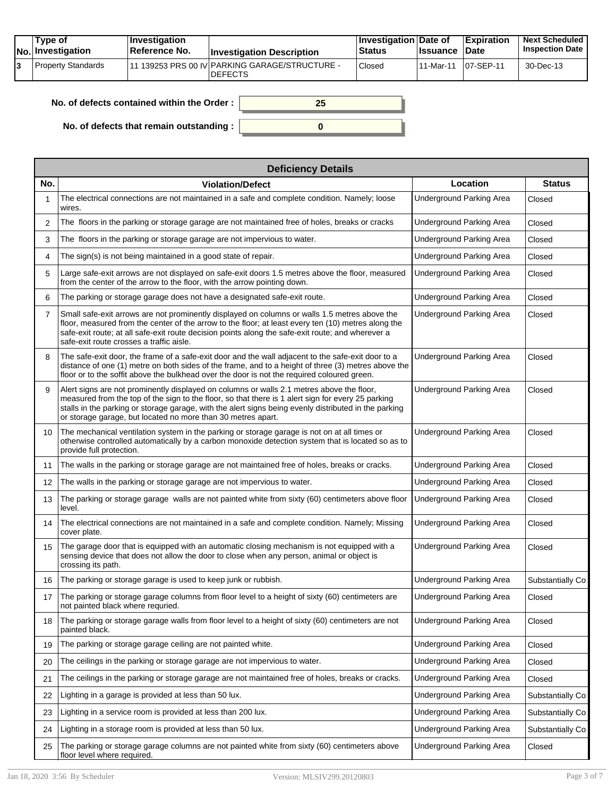| Tvpe of<br>No. Investigation | $ $ Investigation<br><b>Reference No.</b> | <b>Investigation Description</b>                                 | <b>∐nvestigation Date of</b><br><b>Status</b> | <b>Issuance Date</b> | Expiration   | <b>Next Scheduled</b><br><b>Inspection Date</b> |
|------------------------------|-------------------------------------------|------------------------------------------------------------------|-----------------------------------------------|----------------------|--------------|-------------------------------------------------|
| Property Standards           |                                           | 11 139253 PRS 00 IV PARKING GARAGE/STRUCTURE -<br><b>DEFECTS</b> | Closed                                        | ⊺11-Mar-11           | $107-SEP-11$ | 30-Dec-13                                       |

| No. of defects contained within the Order: |  |
|--------------------------------------------|--|
| No. of defects that remain outstanding :   |  |

|                | <b>Deficiency Details</b>                                                                                                                                                                                                                                                                                                                                                |                                 |                  |  |  |  |  |  |
|----------------|--------------------------------------------------------------------------------------------------------------------------------------------------------------------------------------------------------------------------------------------------------------------------------------------------------------------------------------------------------------------------|---------------------------------|------------------|--|--|--|--|--|
| No.            | <b>Violation/Defect</b>                                                                                                                                                                                                                                                                                                                                                  | Location                        | <b>Status</b>    |  |  |  |  |  |
|                | The electrical connections are not maintained in a safe and complete condition. Namely; loose<br>wires.                                                                                                                                                                                                                                                                  | <b>Underground Parking Area</b> | Closed           |  |  |  |  |  |
| 2              | The floors in the parking or storage garage are not maintained free of holes, breaks or cracks                                                                                                                                                                                                                                                                           | <b>Underground Parking Area</b> | Closed           |  |  |  |  |  |
| 3              | The floors in the parking or storage garage are not impervious to water.                                                                                                                                                                                                                                                                                                 | <b>Underground Parking Area</b> | Closed           |  |  |  |  |  |
| 4              | The sign(s) is not being maintained in a good state of repair.                                                                                                                                                                                                                                                                                                           | Underground Parking Area        | Closed           |  |  |  |  |  |
| 5              | Large safe-exit arrows are not displayed on safe-exit doors 1.5 metres above the floor, measured<br>from the center of the arrow to the floor, with the arrow pointing down.                                                                                                                                                                                             | <b>Underground Parking Area</b> | Closed           |  |  |  |  |  |
| 6              | The parking or storage garage does not have a designated safe-exit route.                                                                                                                                                                                                                                                                                                | Underground Parking Area        | Closed           |  |  |  |  |  |
| $\overline{7}$ | Small safe-exit arrows are not prominently displayed on columns or walls 1.5 metres above the<br>floor, measured from the center of the arrow to the floor; at least every ten (10) metres along the<br>safe-exit route; at all safe-exit route decision points along the safe-exit route; and wherever a<br>safe-exit route crosses a traffic aisle.                    | <b>Underground Parking Area</b> | Closed           |  |  |  |  |  |
| 8              | The safe-exit door, the frame of a safe-exit door and the wall adjacent to the safe-exit door to a<br>distance of one (1) metre on both sides of the frame, and to a height of three (3) metres above the<br>floor or to the soffit above the bulkhead over the door is not the required coloured green.                                                                 | <b>Underground Parking Area</b> | Closed           |  |  |  |  |  |
| 9              | Alert signs are not prominently displayed on columns or walls 2.1 metres above the floor,<br>measured from the top of the sign to the floor, so that there is 1 alert sign for every 25 parking<br>stalls in the parking or storage garage, with the alert signs being evenly distributed in the parking<br>or storage garage, but located no more than 30 metres apart. | <b>Underground Parking Area</b> | Closed           |  |  |  |  |  |
| 10             | The mechanical ventilation system in the parking or storage garage is not on at all times or<br>otherwise controlled automatically by a carbon monoxide detection system that is located so as to<br>provide full protection.                                                                                                                                            | <b>Underground Parking Area</b> | Closed           |  |  |  |  |  |
| 11             | The walls in the parking or storage garage are not maintained free of holes, breaks or cracks.                                                                                                                                                                                                                                                                           | <b>Underground Parking Area</b> | Closed           |  |  |  |  |  |
| 12             | The walls in the parking or storage garage are not impervious to water.                                                                                                                                                                                                                                                                                                  | <b>Underground Parking Area</b> | Closed           |  |  |  |  |  |
| 13             | The parking or storage garage walls are not painted white from sixty (60) centimeters above floor<br>level.                                                                                                                                                                                                                                                              | <b>Underground Parking Area</b> | Closed           |  |  |  |  |  |
| 14             | The electrical connections are not maintained in a safe and complete condition. Namely; Missing<br>cover plate.                                                                                                                                                                                                                                                          | <b>Underground Parking Area</b> | Closed           |  |  |  |  |  |
| 15             | The garage door that is equipped with an automatic closing mechanism is not equipped with a<br>sensing device that does not allow the door to close when any person, animal or object is<br>crossing its path.                                                                                                                                                           | <b>Underground Parking Area</b> | Closed           |  |  |  |  |  |
| 16             | The parking or storage garage is used to keep junk or rubbish.                                                                                                                                                                                                                                                                                                           | <b>Underground Parking Area</b> | Substantially Co |  |  |  |  |  |
| 17             | The parking or storage garage columns from floor level to a height of sixty (60) centimeters are<br>not painted black where requried.                                                                                                                                                                                                                                    | <b>Underground Parking Area</b> | Closed           |  |  |  |  |  |
| 18             | The parking or storage garage walls from floor level to a height of sixty (60) centimeters are not<br>painted black.                                                                                                                                                                                                                                                     | <b>Underground Parking Area</b> | Closed           |  |  |  |  |  |
| 19             | The parking or storage garage ceiling are not painted white.                                                                                                                                                                                                                                                                                                             | Underground Parking Area        | Closed           |  |  |  |  |  |
| 20             | The ceilings in the parking or storage garage are not impervious to water.                                                                                                                                                                                                                                                                                               | <b>Underground Parking Area</b> | Closed           |  |  |  |  |  |
| 21             | The ceilings in the parking or storage garage are not maintained free of holes, breaks or cracks.                                                                                                                                                                                                                                                                        | Underground Parking Area        | Closed           |  |  |  |  |  |
| 22             | Lighting in a garage is provided at less than 50 lux.                                                                                                                                                                                                                                                                                                                    | <b>Underground Parking Area</b> | Substantially Co |  |  |  |  |  |
| 23             | Lighting in a service room is provided at less than 200 lux.                                                                                                                                                                                                                                                                                                             | <b>Underground Parking Area</b> | Substantially Co |  |  |  |  |  |
| 24             | Lighting in a storage room is provided at less than 50 lux.                                                                                                                                                                                                                                                                                                              | Underground Parking Area        | Substantially Co |  |  |  |  |  |
| 25             | The parking or storage garage columns are not painted white from sixty (60) centimeters above<br>floor level where required.                                                                                                                                                                                                                                             | Underground Parking Area        | Closed           |  |  |  |  |  |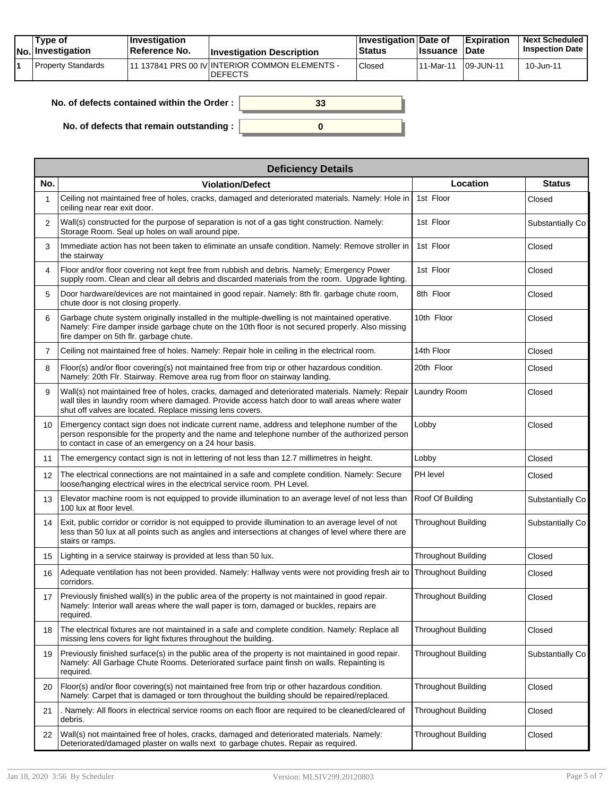| Tvpe of<br>No. Investigation | $\blacksquare$ Investigation<br>Reference No. | <b>Investigation Description</b>                                 | <b>Investigation Date of</b><br><b>Status</b> | <b>Issuance</b> | <b>Expiration</b><br><b>Date</b> | <b>Next Scheduled</b><br><b>Inspection Date</b> |
|------------------------------|-----------------------------------------------|------------------------------------------------------------------|-----------------------------------------------|-----------------|----------------------------------|-------------------------------------------------|
| Property Standards           |                                               | 11 137841 PRS 00 IV INTERIOR COMMON ELEMENTS -<br><b>DEFECTS</b> | <sup>'</sup> Closed                           | 11-Mar-11       | 109-JUN-11                       | 10-Jun-11                                       |

| No. of defects contained within the Order:       | 33 |
|--------------------------------------------------|----|
| No. of defects that remain outstanding : $\vert$ |    |

|     | <b>Deficiency Details</b>                                                                                                                                                                                                                                      |                            |                  |  |  |  |  |  |
|-----|----------------------------------------------------------------------------------------------------------------------------------------------------------------------------------------------------------------------------------------------------------------|----------------------------|------------------|--|--|--|--|--|
| No. | <b>Violation/Defect</b>                                                                                                                                                                                                                                        | Location                   | <b>Status</b>    |  |  |  |  |  |
|     | Ceiling not maintained free of holes, cracks, damaged and deteriorated materials. Namely: Hole in<br>ceiling near rear exit door.                                                                                                                              | 1st Floor                  | Closed           |  |  |  |  |  |
| 2   | Wall(s) constructed for the purpose of separation is not of a gas tight construction. Namely:<br>Storage Room. Seal up holes on wall around pipe.                                                                                                              | 1st Floor                  | Substantially Co |  |  |  |  |  |
| 3   | Immediate action has not been taken to eliminate an unsafe condition. Namely: Remove stroller in<br>the stairway                                                                                                                                               | 1st Floor                  | Closed           |  |  |  |  |  |
| 4   | Floor and/or floor covering not kept free from rubbish and debris. Namely; Emergency Power<br>supply room. Clean and clear all debris and discarded materials from the room. Upgrade lighting.                                                                 | 1st Floor                  | Closed           |  |  |  |  |  |
| 5   | Door hardware/devices are not maintained in good repair. Namely: 8th flr. garbage chute room,<br>chute door is not closing properly.                                                                                                                           | 8th Floor                  | Closed           |  |  |  |  |  |
| 6   | Garbage chute system originally installed in the multiple-dwelling is not maintained operative.<br>Namely: Fire damper inside garbage chute on the 10th floor is not secured properly. Also missing<br>fire damper on 5th flr. garbage chute.                  | 10th Floor                 | Closed           |  |  |  |  |  |
| 7   | Ceiling not maintained free of holes. Namely: Repair hole in ceiling in the electrical room.                                                                                                                                                                   | 14th Floor                 | Closed           |  |  |  |  |  |
| 8   | Floor(s) and/or floor covering(s) not maintained free from trip or other hazardous condition.<br>Namely: 20th Flr. Stairway. Remove area rug from floor on stairway landing.                                                                                   | 20th Floor                 | Closed           |  |  |  |  |  |
| 9   | Wall(s) not maintained free of holes, cracks, damaged and deteriorated materials. Namely: Repair<br>wall tiles in laundry room where damaged. Provide access hatch door to wall areas where water<br>shut off valves are located. Replace missing lens covers. | Laundry Room               | Closed           |  |  |  |  |  |
| 10  | Emergency contact sign does not indicate current name, address and telephone number of the<br>person responsible for the property and the name and telephone number of the authorized person<br>to contact in case of an emergency on a 24 hour basis.         | Lobby                      | Closed           |  |  |  |  |  |
| 11  | The emergency contact sign is not in lettering of not less than 12.7 millimetres in height.                                                                                                                                                                    | Lobby                      | Closed           |  |  |  |  |  |
| 12  | The electrical connections are not maintained in a safe and complete condition. Namely: Secure<br>loose/hanging electrical wires in the electrical service room. PH Level.                                                                                     | PH level                   | Closed           |  |  |  |  |  |
| 13  | Elevator machine room is not equipped to provide illumination to an average level of not less than<br>100 lux at floor level.                                                                                                                                  | Roof Of Building           | Substantially Co |  |  |  |  |  |
| 14  | Exit, public corridor or corridor is not equipped to provide illumination to an average level of not<br>less than 50 lux at all points such as angles and intersections at changes of level where there are<br>stairs or ramps.                                | <b>Throughout Building</b> | Substantially Co |  |  |  |  |  |
| 15  | Lighting in a service stairway is provided at less than 50 lux.                                                                                                                                                                                                | <b>Throughout Building</b> | Closed           |  |  |  |  |  |
| 16  | Adequate ventilation has not been provided. Namely: Hallway vents were not providing fresh air to Throughout Building<br>corridors.                                                                                                                            |                            | Closed           |  |  |  |  |  |
| 17  | Previously finished wall(s) in the public area of the property is not maintained in good repair.<br>Namely: Interior wall areas where the wall paper is torn, damaged or buckles, repairs are<br>required.                                                     | <b>Throughout Building</b> | Closed           |  |  |  |  |  |
| 18  | The electrical fixtures are not maintained in a safe and complete condition. Namely: Replace all<br>missing lens covers for light fixtures throughout the building.                                                                                            | Throughout Building        | Closed           |  |  |  |  |  |
| 19  | Previously finished surface(s) in the public area of the property is not maintained in good repair.<br>Namely: All Garbage Chute Rooms. Deteriorated surface paint finsh on walls. Repainting is<br>required.                                                  | Throughout Building        | Substantially Co |  |  |  |  |  |
| 20  | Floor(s) and/or floor covering(s) not maintained free from trip or other hazardous condition.<br>Namely: Carpet that is damaged or torn throughout the building should be repaired/replaced.                                                                   | <b>Throughout Building</b> | Closed           |  |  |  |  |  |
| 21  | . Namely: All floors in electrical service rooms on each floor are required to be cleaned/cleared of<br>debris.                                                                                                                                                | Throughout Building        | Closed           |  |  |  |  |  |
| 22  | Wall(s) not maintained free of holes, cracks, damaged and deteriorated materials. Namely:<br>Deteriorated/damaged plaster on walls next to garbage chutes. Repair as required.                                                                                 | <b>Throughout Building</b> | Closed           |  |  |  |  |  |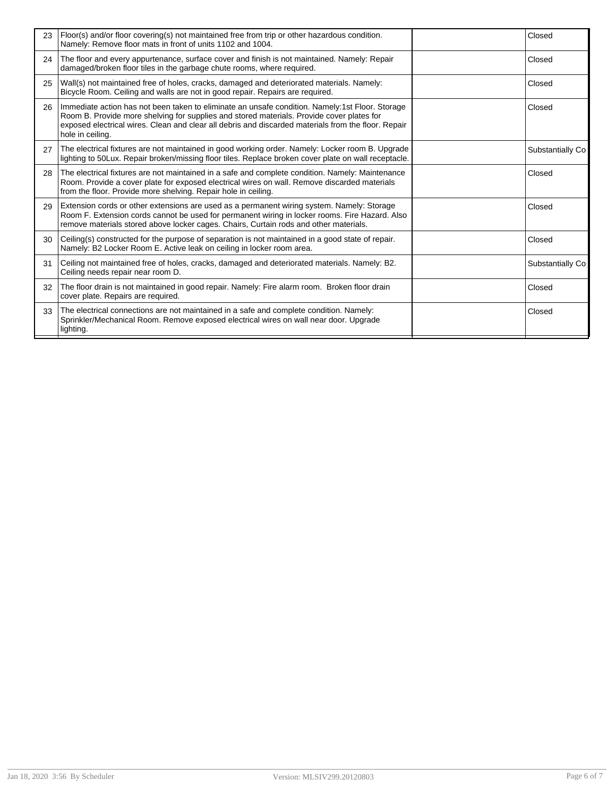| 23 | Floor(s) and/or floor covering(s) not maintained free from trip or other hazardous condition.<br>Namely: Remove floor mats in front of units 1102 and 1004.                                                                                                                                                             | Closed            |
|----|-------------------------------------------------------------------------------------------------------------------------------------------------------------------------------------------------------------------------------------------------------------------------------------------------------------------------|-------------------|
| 24 | The floor and every appurtenance, surface cover and finish is not maintained. Namely: Repair<br>damaged/broken floor tiles in the garbage chute rooms, where required.                                                                                                                                                  | Closed            |
| 25 | Wall(s) not maintained free of holes, cracks, damaged and deteriorated materials. Namely:<br>Bicycle Room. Ceiling and walls are not in good repair. Repairs are required.                                                                                                                                              | Closed            |
| 26 | Immediate action has not been taken to eliminate an unsafe condition. Namely:1st Floor. Storage<br>Room B. Provide more shelving for supplies and stored materials. Provide cover plates for<br>exposed electrical wires. Clean and clear all debris and discarded materials from the floor. Repair<br>hole in ceiling. | Closed            |
| 27 | The electrical fixtures are not maintained in good working order. Namely: Locker room B. Upgrade<br>lighting to 50Lux. Repair broken/missing floor tiles. Replace broken cover plate on wall receptacle.                                                                                                                | Substantially Co. |
| 28 | The electrical fixtures are not maintained in a safe and complete condition. Namely: Maintenance<br>Room. Provide a cover plate for exposed electrical wires on wall. Remove discarded materials<br>from the floor. Provide more shelving. Repair hole in ceiling.                                                      | Closed            |
| 29 | Extension cords or other extensions are used as a permanent wiring system. Namely: Storage<br>Room F. Extension cords cannot be used for permanent wiring in locker rooms. Fire Hazard. Also<br>remove materials stored above locker cages. Chairs, Curtain rods and other materials.                                   | Closed            |
| 30 | Ceiling(s) constructed for the purpose of separation is not maintained in a good state of repair.<br>Namely: B2 Locker Room E. Active leak on ceiling in locker room area.                                                                                                                                              | Closed            |
| 31 | Ceiling not maintained free of holes, cracks, damaged and deteriorated materials. Namely: B2.<br>Ceiling needs repair near room D.                                                                                                                                                                                      | Substantially Co  |
| 32 | The floor drain is not maintained in good repair. Namely: Fire alarm room. Broken floor drain<br>cover plate. Repairs are required.                                                                                                                                                                                     | Closed            |
| 33 | The electrical connections are not maintained in a safe and complete condition. Namely:<br>Sprinkler/Mechanical Room. Remove exposed electrical wires on wall near door. Upgrade<br>lighting.                                                                                                                           | Closed            |